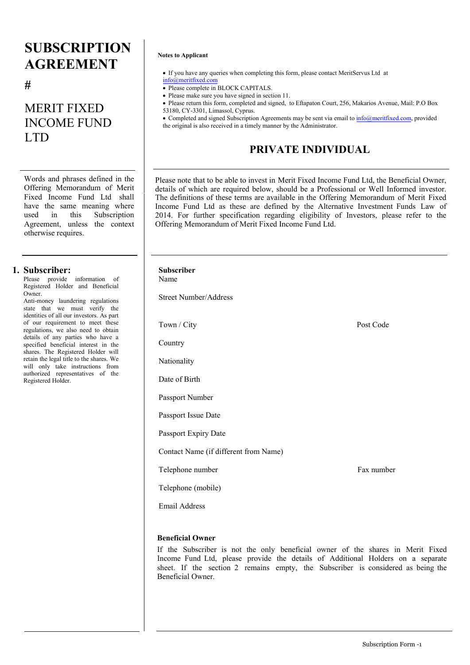# **SUBSCRIPTION AGREEMENT**

**#**

# MERIT FIXED INCOME FUND LTD

Words and phrases defined in the Offering Memorandum of Merit Fixed Income Fund Ltd shall have the same meaning where used in this Subscription Agreement, unless the context otherwise requires.

### **1. Subscriber:**

Please provide information of Registered Holder and Beneficial Owner.

Anti-money laundering regulations state that we must verify the identities of all our investors. As part of our requirement to meet these regulations, we also need to obtain details of any parties who have a specified beneficial interest in the shares. The Registered Holder will retain the legal title to the shares. We will only take instructions from authorized representatives of the Registered Holder.

### **Notes to Applicant**

- If you have any queries when completing this form, please contact MeritServus Ltd at [info@merit](mailto:info@meritservus.com)fixed.com
- Please complete in BLOCK CAPITALS.
- Please make sure you have signed in section 11.
- Please return this form, completed and signed, to Eftapaton Court, 256, Makarios Avenue, Mail: P.O Box 53180, CY-3301, Limassol, Cyprus.

• Completed and signed Subscription Agreements may be sent via email to [info@merit](mailto:info@meritservus.com)fixed.com, provided the original is also received in a timely manner by the Administrator.

# **PRIVATE INDIVIDUAL**

Please note that to be able to invest in Merit Fixed Income Fund Ltd, the Beneficial Owner, details of which are required below, should be a Professional or Well Informed investor. The definitions of these terms are available in the Offering Memorandum of Merit Fixed Income Fund Ltd as these are defined by the Alternative Investment Funds Law of 2014. For further specification regarding eligibility of Investors, please refer to the Offering Memorandum of Merit Fixed Income Fund Ltd.

# Post Code Fax number **Subscriber** Name Street Number/Address Town / City **Country** Nationality Date of Birth Passport Number Passport Issue Date Passport Expiry Date Contact Name (if different from Name) Telephone number Telephone (mobile) Email Address

### **Beneficial Owner**

If the Subscriber is not the only beneficial owner of the shares in Merit Fixed Income Fund Ltd, please provide the details of Additional Holders on a separate sheet. If the section 2 remains empty, the Subscriber is considered as being the Beneficial Owner.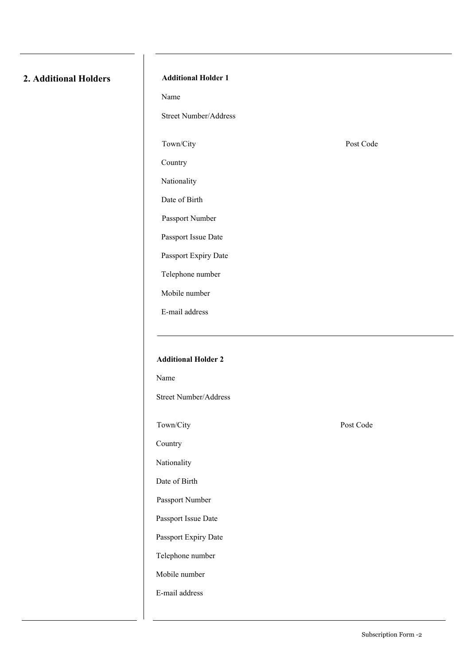## **2. Additional Holders**

### **Additional Holder 1**

Name

Street Number/Address

Town/City

Country

Nationality

Date of Birth

Passport Number

Passport Issue Date

Passport Expiry Date

Telephone number

Mobile number

E-mail address

Post Code

# **Additional Holder 2** Name Street Number/Address Town/City Country Nationality Date of Birth Passport Number Passport Issue Date Passport Expiry Date Telephone number Mobile number E-mail address

Post Code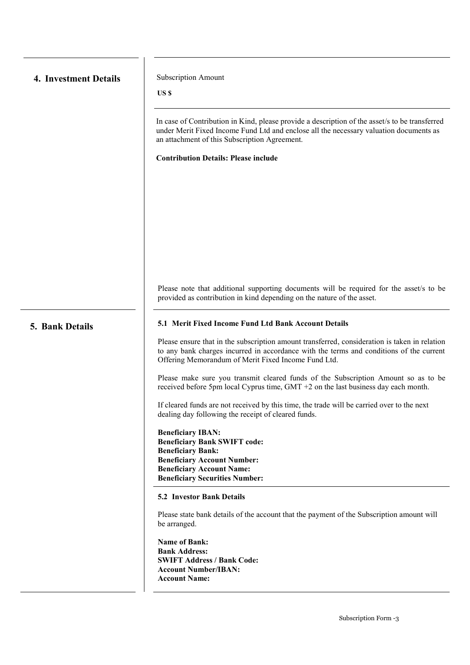| 4. Investment Details |  |
|-----------------------|--|
|                       |  |

**Subscription Amount** 

**US \$**

In case of Contribution in Kind, please provide a description of the asset/s to be transferred under Merit Fixed Income Fund Ltd and enclose all the necessary valuation documents as an attachment of this Subscription Agreement.

**Contribution Details: Please include** 

Please note that additional supporting documents will be required for the asset/s to be provided as contribution in kind depending on the nature of the asset.

### **5. Bank Details 5.1 Merit Fixed Income Fund Ltd Bank Account Details**

Please ensure that in the subscription amount transferred, consideration is taken in relation to any bank charges incurred in accordance with the terms and conditions of the current Offering Memorandum of Merit Fixed Income Fund Ltd.

Please make sure you transmit cleared funds of the Subscription Amount so as to be received before 5pm local Cyprus time, GMT +2 on the last business day each month.

If cleared funds are not received by this time, the trade will be carried over to the next dealing day following the receipt of cleared funds.

**Beneficiary IBAN: Beneficiary Bank SWIFT code: Beneficiary Bank: Beneficiary Account Number: Beneficiary Account Name: Beneficiary Securities Number:**

### **5.2 Investor Bank Details**

Please state bank details of the account that the payment of the Subscription amount will be arranged.

**Name of Bank: Bank Address: SWIFT Address / Bank Code: Account Number/IBAN: Account Name:**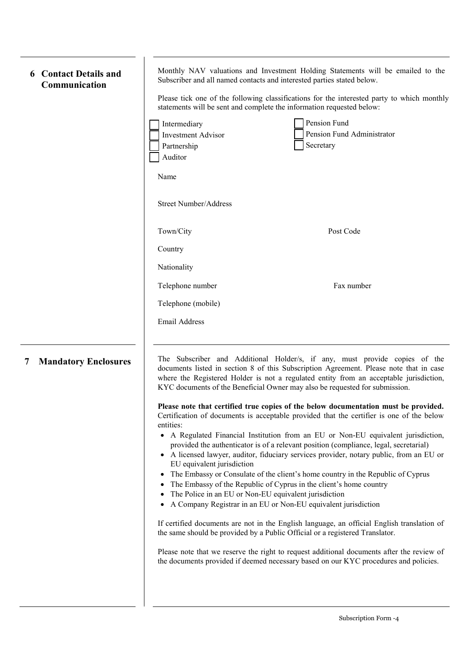| <b>6</b> Contact Details and |
|------------------------------|
| Communication                |

Monthly NAV valuations and Investment Holding Statements will be emailed to the Subscriber and all named contacts and interested parties stated below.

Please tick one of the following classifications for the interested party to which monthly

|                                  |                                                                     | statements will be sent and complete the information requested below:                                                                                                                                                                                                                                                                                                                                                                                                                                                                                                                                                                                                                                                                                                                                                                                                                                                                                                                                                                                                                                                                                                                                                                                                                                                                                                                                                                                            |
|----------------------------------|---------------------------------------------------------------------|------------------------------------------------------------------------------------------------------------------------------------------------------------------------------------------------------------------------------------------------------------------------------------------------------------------------------------------------------------------------------------------------------------------------------------------------------------------------------------------------------------------------------------------------------------------------------------------------------------------------------------------------------------------------------------------------------------------------------------------------------------------------------------------------------------------------------------------------------------------------------------------------------------------------------------------------------------------------------------------------------------------------------------------------------------------------------------------------------------------------------------------------------------------------------------------------------------------------------------------------------------------------------------------------------------------------------------------------------------------------------------------------------------------------------------------------------------------|
|                                  | Intermediary<br><b>Investment Advisor</b><br>Partnership<br>Auditor | Pension Fund<br>Pension Fund Administrator<br>Secretary                                                                                                                                                                                                                                                                                                                                                                                                                                                                                                                                                                                                                                                                                                                                                                                                                                                                                                                                                                                                                                                                                                                                                                                                                                                                                                                                                                                                          |
|                                  | Name<br><b>Street Number/Address</b>                                |                                                                                                                                                                                                                                                                                                                                                                                                                                                                                                                                                                                                                                                                                                                                                                                                                                                                                                                                                                                                                                                                                                                                                                                                                                                                                                                                                                                                                                                                  |
|                                  | Town/City<br>Country                                                | Post Code                                                                                                                                                                                                                                                                                                                                                                                                                                                                                                                                                                                                                                                                                                                                                                                                                                                                                                                                                                                                                                                                                                                                                                                                                                                                                                                                                                                                                                                        |
|                                  | Nationality                                                         |                                                                                                                                                                                                                                                                                                                                                                                                                                                                                                                                                                                                                                                                                                                                                                                                                                                                                                                                                                                                                                                                                                                                                                                                                                                                                                                                                                                                                                                                  |
|                                  | Telephone number                                                    | Fax number                                                                                                                                                                                                                                                                                                                                                                                                                                                                                                                                                                                                                                                                                                                                                                                                                                                                                                                                                                                                                                                                                                                                                                                                                                                                                                                                                                                                                                                       |
|                                  | Telephone (mobile)<br>Email Address                                 |                                                                                                                                                                                                                                                                                                                                                                                                                                                                                                                                                                                                                                                                                                                                                                                                                                                                                                                                                                                                                                                                                                                                                                                                                                                                                                                                                                                                                                                                  |
| <b>Mandatory Enclosures</b><br>7 | entities:<br>EU equivalent jurisdiction<br>٠                        | The Subscriber and Additional Holder/s, if any, must provide copies of the<br>documents listed in section 8 of this Subscription Agreement. Please note that in case<br>where the Registered Holder is not a regulated entity from an acceptable jurisdiction,<br>KYC documents of the Beneficial Owner may also be requested for submission.<br>Please note that certified true copies of the below documentation must be provided.<br>Certification of documents is acceptable provided that the certifier is one of the below<br>• A Regulated Financial Institution from an EU or Non-EU equivalent jurisdiction,<br>provided the authenticator is of a relevant position (compliance, legal, secretarial)<br>• A licensed lawyer, auditor, fiduciary services provider, notary public, from an EU or<br>The Embassy or Consulate of the client's home country in the Republic of Cyprus<br>The Embassy of the Republic of Cyprus in the client's home country<br>The Police in an EU or Non-EU equivalent jurisdiction<br>A Company Registrar in an EU or Non-EU equivalent jurisdiction<br>If certified documents are not in the English language, an official English translation of<br>the same should be provided by a Public Official or a registered Translator.<br>Please note that we reserve the right to request additional documents after the review of<br>the documents provided if deemed necessary based on our KYC procedures and policies. |
|                                  |                                                                     |                                                                                                                                                                                                                                                                                                                                                                                                                                                                                                                                                                                                                                                                                                                                                                                                                                                                                                                                                                                                                                                                                                                                                                                                                                                                                                                                                                                                                                                                  |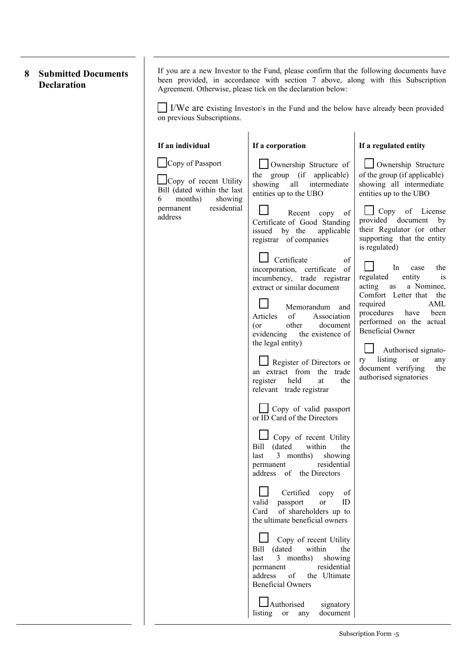## **8 Submitted Documents Declaration**

If you are a new Investor to the Fund, please confirm that the following documents have been provided, in accordance with section 7 above, along with this Subscription Agreement. Otherwise, please tick on the declaration below:

I/We are existing Investor/s in the Fund and the below have already been provided on previous Subscriptions.

| If an individual                                                                                     | If a corporation                                                                                                                                                                                              | If a regulated entity                                                                                                                                                            |
|------------------------------------------------------------------------------------------------------|---------------------------------------------------------------------------------------------------------------------------------------------------------------------------------------------------------------|----------------------------------------------------------------------------------------------------------------------------------------------------------------------------------|
| Copy of Passport<br>Copy of recent Utility<br>Bill (dated within the last<br>months)<br>showing<br>6 | Ownership Structure of<br>the group (if applicable)<br>showing<br>intermediate<br>all<br>entities up to the UBO                                                                                               | Ownership Structure<br>of the group (if applicable)<br>showing all intermediate<br>entities up to the UBO                                                                        |
| residential<br>permanent<br>address                                                                  | Recent copy<br>of<br>Certificate of Good Standing<br>applicable<br>issued by the<br>registrar of companies                                                                                                    | Copy of License<br>provided document by<br>their Regulator (or other<br>supporting that the entity<br>is regulated)                                                              |
|                                                                                                      | Certificate<br>of<br>incorporation, certificate<br><sub>of</sub><br>incumbency, trade registrar<br>extract or similar document<br>Memorandum and<br>of<br>Association<br>Articles<br>other<br>(or<br>document | In<br>the<br>case<br>regulated<br>entity<br>1S<br>acting<br>a Nominee,<br>as<br>Comfort Letter that the<br>AML<br>required<br>procedures have<br>been<br>performed on the actual |
|                                                                                                      | evidencing the existence of<br>the legal entity)<br>Register of Directors or<br>an extract from the trade<br>register<br>held<br>the<br>at<br>relevant trade registrar                                        | <b>Beneficial Owner</b><br>Authorised signato-<br>listing<br>ry<br>or<br>any<br>document verifying<br>the<br>authorised signatories                                              |
|                                                                                                      | $\Box$ Copy of valid passport<br>or ID Card of the Directors                                                                                                                                                  |                                                                                                                                                                                  |
|                                                                                                      | Copy of recent Utility<br>Bill (dated<br>within<br>the<br>3 months)<br>showing<br>last<br>residential<br>permanent<br>address of the Directors                                                                |                                                                                                                                                                                  |
|                                                                                                      | Certified<br>copy<br>of<br>valid<br>passport<br>or<br>ID<br>of shareholders up to<br>Card<br>the ultimate beneficial owners                                                                                   |                                                                                                                                                                                  |
|                                                                                                      | Copy of recent Utility<br>(dated)<br>Bill<br>within<br>the<br>3 months)<br>last<br>showing<br>residential<br>permanent<br>of<br>the Ultimate<br>address<br><b>Beneficial Owners</b>                           |                                                                                                                                                                                  |
|                                                                                                      | Authorised<br>signatory<br>listing<br>document<br>or<br>any                                                                                                                                                   |                                                                                                                                                                                  |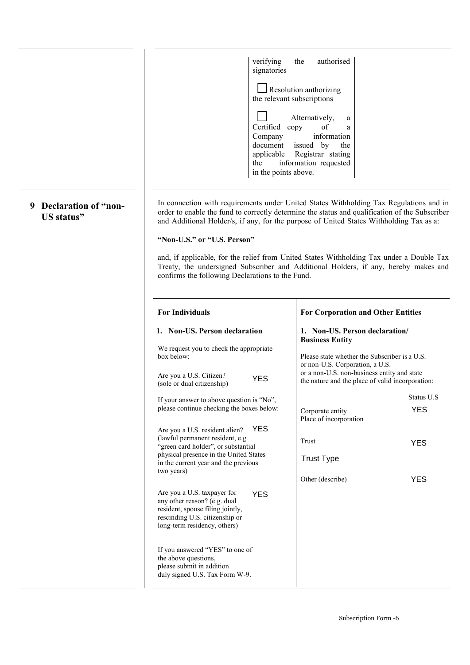|          | verifying<br>signatories                                                                                                                                                        | the<br>authorised                                                                                                                                                                                                                                                                   |  |
|----------|---------------------------------------------------------------------------------------------------------------------------------------------------------------------------------|-------------------------------------------------------------------------------------------------------------------------------------------------------------------------------------------------------------------------------------------------------------------------------------|--|
|          |                                                                                                                                                                                 | Resolution authorizing<br>the relevant subscriptions                                                                                                                                                                                                                                |  |
|          | Certified<br>Company<br>document<br>applicable<br>the<br>in the points above.                                                                                                   | Alternatively,<br>a<br>copy<br>of<br>a<br>information<br>issued by<br>the<br>Registrar stating<br>information requested                                                                                                                                                             |  |
| of "non- |                                                                                                                                                                                 | In connection with requirements under United States Withholding Tax Regulations and in<br>order to enable the fund to correctly determine the status and qualification of the Subscriber<br>and Additional Holder/s, if any, for the purpose of United States Withholding Tax as a: |  |
|          | "Non-U.S." or "U.S. Person"                                                                                                                                                     |                                                                                                                                                                                                                                                                                     |  |
|          | confirms the following Declarations to the Fund.                                                                                                                                | and, if applicable, for the relief from United States Withholding Tax under a Double Tax<br>Treaty, the undersigned Subscriber and Additional Holders, if any, hereby makes and                                                                                                     |  |
|          | <b>For Individuals</b>                                                                                                                                                          | <b>For Corporation and Other Entities</b>                                                                                                                                                                                                                                           |  |
|          | 1. Non-US. Person declaration                                                                                                                                                   | 1. Non-US. Person declaration/<br><b>Business Entity</b>                                                                                                                                                                                                                            |  |
|          | We request you to check the appropriate<br>box below:<br>Are you a U.S. Citizen?                                                                                                | Please state whether the Subscriber is a U.S.<br>or non-U.S. Corporation, a U.S.<br>or a non-U.S. non-business entity and state                                                                                                                                                     |  |
|          | <b>YES</b><br>(sole or dual citizenship)                                                                                                                                        | the nature and the place of valid incorporation:                                                                                                                                                                                                                                    |  |
|          | If your answer to above question is "No",<br>please continue checking the boxes below:                                                                                          | Status U.S<br><b>YES</b><br>Corporate entity<br>Place of incorporation                                                                                                                                                                                                              |  |
|          | <b>YES</b><br>Are you a U.S. resident alien?<br>(lawful permanent resident, e.g.<br>"green card holder", or substantial<br>physical presence in the United States               | Trust<br><b>YES</b>                                                                                                                                                                                                                                                                 |  |
|          | in the current year and the previous<br>two years)                                                                                                                              | <b>Trust Type</b>                                                                                                                                                                                                                                                                   |  |
|          | Are you a U.S. taxpayer for<br><b>YES</b><br>any other reason? (e.g. dual<br>resident, spouse filing jointly,<br>rescinding U.S. citizenship or<br>long-term residency, others) | Other (describe)<br><b>YES</b>                                                                                                                                                                                                                                                      |  |
|          | If you answered "YES" to one of<br>the above questions,<br>please submit in addition                                                                                            |                                                                                                                                                                                                                                                                                     |  |

## **9 Declaration US status"**

 $\overline{\phantom{a}}$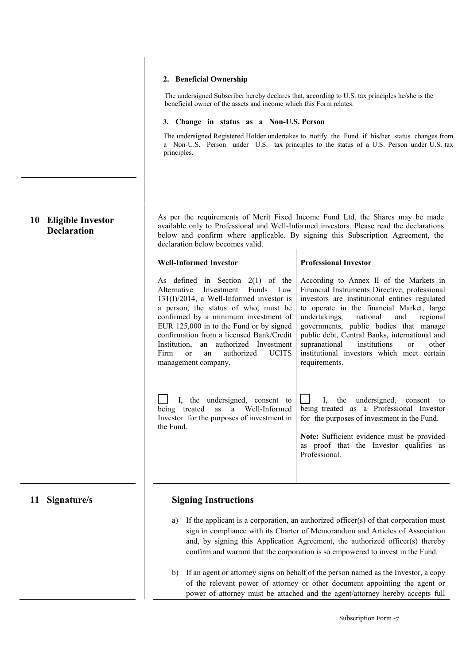### **2. Beneficial Ownership**

The undersigned Subscriber hereby declares that, according to U.S. tax principles he/she is the beneficial owner of the assets and income which this Form relates.

#### **3. Change in status as a Non-U.S. Person**

The undersigned Registered Holder undertakes to notify the Fund if his/her status changes from a Non-U.S. Person under U.S. tax principles to the status of a U.S. Person under U.S. tax principles.

| <b>Eligible Investor</b><br>10<br><b>Declaration</b> | As per the requirements of Merit Fixed Income Fund Ltd, the Shares may be made<br>available only to Professional and Well-Informed investors. Please read the declarations<br>below and confirm where applicable. By signing this Subscription Agreement, the<br>declaration below becomes valid.                                                                                                                                                                                                          |                                                                                                                                                                                                                                                                                                                                                                                                                                                                                                                                                                                                  |  |
|------------------------------------------------------|------------------------------------------------------------------------------------------------------------------------------------------------------------------------------------------------------------------------------------------------------------------------------------------------------------------------------------------------------------------------------------------------------------------------------------------------------------------------------------------------------------|--------------------------------------------------------------------------------------------------------------------------------------------------------------------------------------------------------------------------------------------------------------------------------------------------------------------------------------------------------------------------------------------------------------------------------------------------------------------------------------------------------------------------------------------------------------------------------------------------|--|
|                                                      | <b>Well-Informed Investor</b>                                                                                                                                                                                                                                                                                                                                                                                                                                                                              | <b>Professional Investor</b>                                                                                                                                                                                                                                                                                                                                                                                                                                                                                                                                                                     |  |
|                                                      | As defined in Section $2(1)$ of the<br>Alternative<br>Investment<br>Funds<br>Law<br>131(I)/2014, a Well-Informed investor is<br>a person, the status of who, must be<br>confirmed by a minimum investment of<br>EUR 125,000 in to the Fund or by signed<br>confirmation from a licensed Bank/Credit<br>Institution,<br>an<br>authorized Investment<br><b>UCITS</b><br>Firm<br>authorized<br>or<br>an<br>management company.<br>I, the undersigned, consent to<br>Well-Informed<br>being treated<br>as<br>a | According to Annex II of the Markets in<br>Financial Instruments Directive, professional<br>investors are institutional entities regulated<br>to operate in the financial Market, large<br>undertakings,<br>national<br>and<br>regional<br>governments, public bodies that manage<br>public debt, Central Banks, international and<br>supranational<br>institutions<br>other<br><sub>or</sub><br>institutional investors which meet certain<br>requirements.<br>the undersigned, consent to<br>$\mathbf{I}$<br>being treated as a Professional Investor                                          |  |
|                                                      | Investor for the purposes of investment in<br>the Fund.                                                                                                                                                                                                                                                                                                                                                                                                                                                    | for the purposes of investment in the Fund.<br>Note: Sufficient evidence must be provided<br>as proof that the Investor qualifies as<br>Professional.                                                                                                                                                                                                                                                                                                                                                                                                                                            |  |
| 11 Signature/s                                       | <b>Signing Instructions</b>                                                                                                                                                                                                                                                                                                                                                                                                                                                                                |                                                                                                                                                                                                                                                                                                                                                                                                                                                                                                                                                                                                  |  |
|                                                      | a)<br>b)                                                                                                                                                                                                                                                                                                                                                                                                                                                                                                   | If the applicant is a corporation, an authorized officer(s) of that corporation must<br>sign in compliance with its Charter of Memorandum and Articles of Association<br>and, by signing this Application Agreement, the authorized officer(s) thereby<br>confirm and warrant that the corporation is so empowered to invest in the Fund.<br>If an agent or attorney signs on behalf of the person named as the Investor, a copy<br>of the relevant power of attorney or other document appointing the agent or<br>power of attorney must be attached and the agent/attorney hereby accepts full |  |